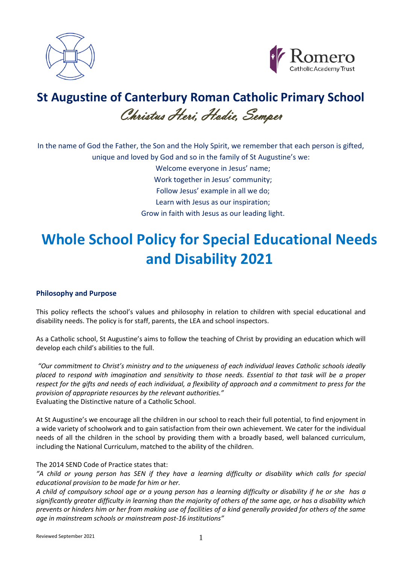



## **St Augustine of Canterbury Roman Catholic Primary School** Christus Heri, Hodie, Semper

In the name of God the Father, the Son and the Holy Spirit, we remember that each person is gifted, unique and loved by God and so in the family of St Augustine's we:

> Welcome everyone in Jesus' name; Work together in Jesus' community; Follow Jesus' example in all we do; Learn with Jesus as our inspiration; Grow in faith with Jesus as our leading light.

# **Whole School Policy for Special Educational Needs and Disability 2021**

## **Philosophy and Purpose**

This policy reflects the school's values and philosophy in relation to children with special educational and disability needs. The policy is for staff, parents, the LEA and school inspectors.

As a Catholic school, St Augustine's aims to follow the teaching of Christ by providing an education which will develop each child's abilities to the full.

*"Our commitment to Christ's ministry and to the uniqueness of each individual leaves Catholic schools ideally placed to respond with imagination and sensitivity to those needs. Essential to that task will be a proper respect for the gifts and needs of each individual, a flexibility of approach and a commitment to press for the provision of appropriate resources by the relevant authorities."* Evaluating the Distinctive nature of a Catholic School.

At St Augustine's we encourage all the children in our school to reach their full potential, to find enjoyment in a wide variety of schoolwork and to gain satisfaction from their own achievement. We cater for the individual needs of all the children in the school by providing them with a broadly based, well balanced curriculum, including the National Curriculum, matched to the ability of the children.

## The 2014 SEND Code of Practice states that:

*"A child or young person has SEN if they have a learning difficulty or disability which calls for special educational provision to be made for him or her.* 

*A child of compulsory school age or a young person has a learning difficulty or disability if he or she has a significantly greater difficulty in learning than the majority of others of the same age, or has a disability which prevents or hinders him or her from making use of facilities of a kind generally provided for others of the same age in mainstream schools or mainstream post-16 institutions"*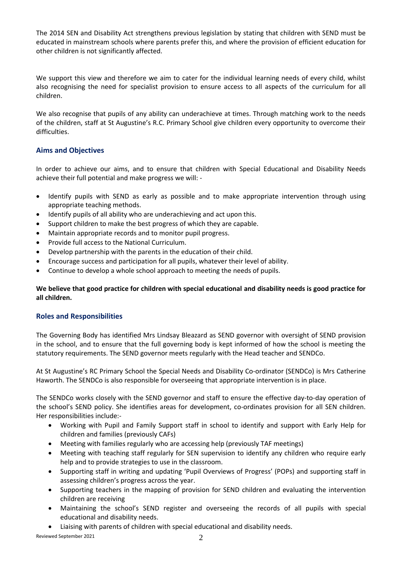The 2014 SEN and Disability Act strengthens previous legislation by stating that children with SEND must be educated in mainstream schools where parents prefer this, and where the provision of efficient education for other children is not significantly affected.

We support this view and therefore we aim to cater for the individual learning needs of every child, whilst also recognising the need for specialist provision to ensure access to all aspects of the curriculum for all children.

We also recognise that pupils of any ability can underachieve at times. Through matching work to the needs of the children, staff at St Augustine's R.C. Primary School give children every opportunity to overcome their difficulties.

## **Aims and Objectives**

In order to achieve our aims, and to ensure that children with Special Educational and Disability Needs achieve their full potential and make progress we will: -

- Identify pupils with SEND as early as possible and to make appropriate intervention through using appropriate teaching methods.
- Identify pupils of all ability who are underachieving and act upon this.
- Support children to make the best progress of which they are capable.
- Maintain appropriate records and to monitor pupil progress.
- Provide full access to the National Curriculum.
- Develop partnership with the parents in the education of their child.
- Encourage success and participation for all pupils, whatever their level of ability.
- Continue to develop a whole school approach to meeting the needs of pupils.

## **We believe that good practice for children with special educational and disability needs is good practice for all children.**

## **Roles and Responsibilities**

The Governing Body has identified Mrs Lindsay Bleazard as SEND governor with oversight of SEND provision in the school, and to ensure that the full governing body is kept informed of how the school is meeting the statutory requirements. The SEND governor meets regularly with the Head teacher and SENDCo.

At St Augustine's RC Primary School the Special Needs and Disability Co-ordinator (SENDCo) is Mrs Catherine Haworth. The SENDCo is also responsible for overseeing that appropriate intervention is in place.

The SENDCo works closely with the SEND governor and staff to ensure the effective day-to-day operation of the school's SEND policy. She identifies areas for development, co-ordinates provision for all SEN children. Her responsibilities include:-

- Working with Pupil and Family Support staff in school to identify and support with Early Help for children and families (previously CAFs)
- Meeting with families regularly who are accessing help (previously TAF meetings)
- Meeting with teaching staff regularly for SEN supervision to identify any children who require early help and to provide strategies to use in the classroom.
- Supporting staff in writing and updating 'Pupil Overviews of Progress' (POPs) and supporting staff in assessing children's progress across the year.
- Supporting teachers in the mapping of provision for SEND children and evaluating the intervention children are receiving
- Maintaining the school's SEND register and overseeing the records of all pupils with special educational and disability needs.
- Liaising with parents of children with special educational and disability needs.

Reviewed September 2021 2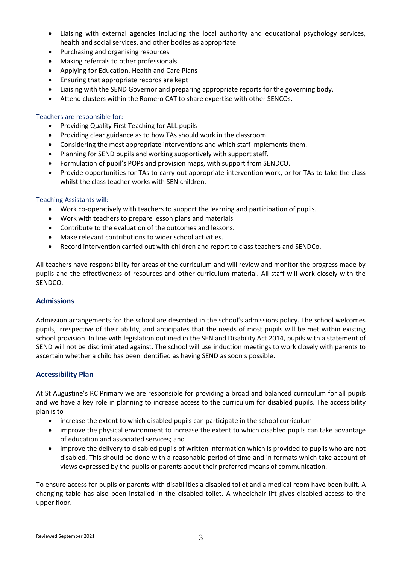- Liaising with external agencies including the local authority and educational psychology services, health and social services, and other bodies as appropriate.
- Purchasing and organising resources
- Making referrals to other professionals
- Applying for Education, Health and Care Plans
- Ensuring that appropriate records are kept
- Liaising with the SEND Governor and preparing appropriate reports for the governing body.
- Attend clusters within the Romero CAT to share expertise with other SENCOs.

#### Teachers are responsible for:

- Providing Quality First Teaching for ALL pupils
- Providing clear guidance as to how TAs should work in the classroom.
- Considering the most appropriate interventions and which staff implements them.
- Planning for SEND pupils and working supportively with support staff.
- Formulation of pupil's POPs and provision maps, with support from SENDCO.
- Provide opportunities for TAs to carry out appropriate intervention work, or for TAs to take the class whilst the class teacher works with SEN children.

#### Teaching Assistants will:

- Work co-operatively with teachers to support the learning and participation of pupils.
- Work with teachers to prepare lesson plans and materials.
- Contribute to the evaluation of the outcomes and lessons.
- Make relevant contributions to wider school activities.
- Record intervention carried out with children and report to class teachers and SENDCo.

All teachers have responsibility for areas of the curriculum and will review and monitor the progress made by pupils and the effectiveness of resources and other curriculum material. All staff will work closely with the SENDCO.

#### **Admissions**

Admission arrangements for the school are described in the school's admissions policy. The school welcomes pupils, irrespective of their ability, and anticipates that the needs of most pupils will be met within existing school provision. In line with legislation outlined in the SEN and Disability Act 2014, pupils with a statement of SEND will not be discriminated against. The school will use induction meetings to work closely with parents to ascertain whether a child has been identified as having SEND as soon s possible.

#### **Accessibility Plan**

At St Augustine's RC Primary we are responsible for providing a broad and balanced curriculum for all pupils and we have a key role in planning to increase access to the curriculum for disabled pupils. The accessibility plan is to

- increase the extent to which disabled pupils can participate in the school curriculum
- improve the physical environment to increase the extent to which disabled pupils can take advantage of education and associated services; and
- improve the delivery to disabled pupils of written information which is provided to pupils who are not disabled. This should be done with a reasonable period of time and in formats which take account of views expressed by the pupils or parents about their preferred means of communication.

To ensure access for pupils or parents with disabilities a disabled toilet and a medical room have been built. A changing table has also been installed in the disabled toilet. A wheelchair lift gives disabled access to the upper floor.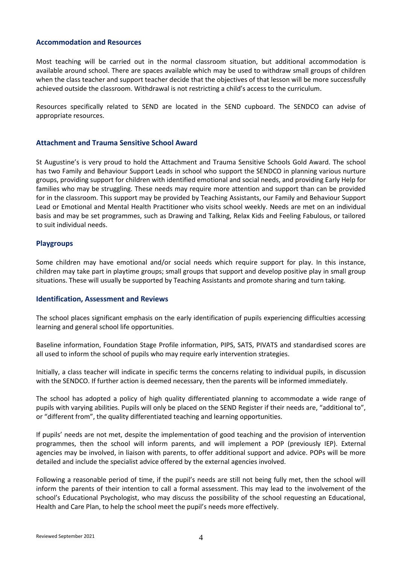#### **Accommodation and Resources**

Most teaching will be carried out in the normal classroom situation, but additional accommodation is available around school. There are spaces available which may be used to withdraw small groups of children when the class teacher and support teacher decide that the objectives of that lesson will be more successfully achieved outside the classroom. Withdrawal is not restricting a child's access to the curriculum.

Resources specifically related to SEND are located in the SEND cupboard. The SENDCO can advise of appropriate resources.

#### **Attachment and Trauma Sensitive School Award**

St Augustine's is very proud to hold the Attachment and Trauma Sensitive Schools Gold Award. The school has two Family and Behaviour Support Leads in school who support the SENDCO in planning various nurture groups, providing support for children with identified emotional and social needs, and providing Early Help for families who may be struggling. These needs may require more attention and support than can be provided for in the classroom. This support may be provided by Teaching Assistants, our Family and Behaviour Support Lead or Emotional and Mental Health Practitioner who visits school weekly. Needs are met on an individual basis and may be set programmes, such as Drawing and Talking, Relax Kids and Feeling Fabulous, or tailored to suit individual needs.

#### **Playgroups**

Some children may have emotional and/or social needs which require support for play. In this instance, children may take part in playtime groups; small groups that support and develop positive play in small group situations. These will usually be supported by Teaching Assistants and promote sharing and turn taking.

#### **Identification, Assessment and Reviews**

The school places significant emphasis on the early identification of pupils experiencing difficulties accessing learning and general school life opportunities.

Baseline information, Foundation Stage Profile information, PIPS, SATS, PIVATS and standardised scores are all used to inform the school of pupils who may require early intervention strategies.

Initially, a class teacher will indicate in specific terms the concerns relating to individual pupils, in discussion with the SENDCO. If further action is deemed necessary, then the parents will be informed immediately.

The school has adopted a policy of high quality differentiated planning to accommodate a wide range of pupils with varying abilities. Pupils will only be placed on the SEND Register if their needs are, "additional to", or "different from", the quality differentiated teaching and learning opportunities.

If pupils' needs are not met, despite the implementation of good teaching and the provision of intervention programmes, then the school will inform parents, and will implement a POP (previously IEP). External agencies may be involved, in liaison with parents, to offer additional support and advice. POPs will be more detailed and include the specialist advice offered by the external agencies involved.

Following a reasonable period of time, if the pupil's needs are still not being fully met, then the school will inform the parents of their intention to call a formal assessment. This may lead to the involvement of the school's Educational Psychologist, who may discuss the possibility of the school requesting an Educational, Health and Care Plan, to help the school meet the pupil's needs more effectively.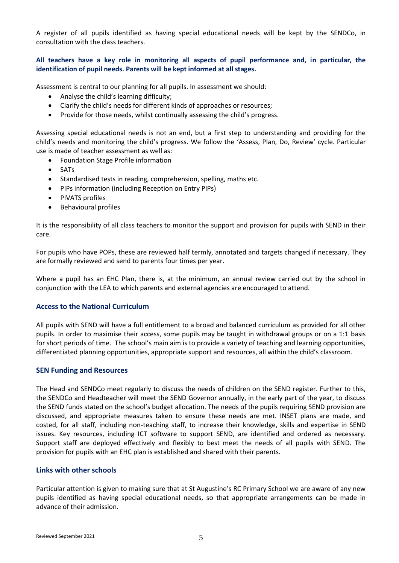A register of all pupils identified as having special educational needs will be kept by the SENDCo, in consultation with the class teachers.

## **All teachers have a key role in monitoring all aspects of pupil performance and, in particular, the identification of pupil needs. Parents will be kept informed at all stages.**

Assessment is central to our planning for all pupils. In assessment we should:

- Analyse the child's learning difficulty;
- Clarify the child's needs for different kinds of approaches or resources;
- Provide for those needs, whilst continually assessing the child's progress.

Assessing special educational needs is not an end, but a first step to understanding and providing for the child's needs and monitoring the child's progress. We follow the 'Assess, Plan, Do, Review' cycle. Particular use is made of teacher assessment as well as:

- Foundation Stage Profile information
- SATs
- Standardised tests in reading, comprehension, spelling, maths etc.
- PIPs information (including Reception on Entry PIPs)
- PIVATS profiles
- Behavioural profiles

It is the responsibility of all class teachers to monitor the support and provision for pupils with SEND in their care.

For pupils who have POPs, these are reviewed half termly, annotated and targets changed if necessary. They are formally reviewed and send to parents four times per year.

Where a pupil has an EHC Plan, there is, at the minimum, an annual review carried out by the school in conjunction with the LEA to which parents and external agencies are encouraged to attend.

#### **Access to the National Curriculum**

All pupils with SEND will have a full entitlement to a broad and balanced curriculum as provided for all other pupils. In order to maximise their access, some pupils may be taught in withdrawal groups or on a 1:1 basis for short periods of time. The school's main aim is to provide a variety of teaching and learning opportunities, differentiated planning opportunities, appropriate support and resources, all within the child's classroom.

#### **SEN Funding and Resources**

The Head and SENDCo meet regularly to discuss the needs of children on the SEND register. Further to this, the SENDCo and Headteacher will meet the SEND Governor annually, in the early part of the year, to discuss the SEND funds stated on the school's budget allocation. The needs of the pupils requiring SEND provision are discussed, and appropriate measures taken to ensure these needs are met. INSET plans are made, and costed, for all staff, including non-teaching staff, to increase their knowledge, skills and expertise in SEND issues. Key resources, including ICT software to support SEND, are identified and ordered as necessary. Support staff are deployed effectively and flexibly to best meet the needs of all pupils with SEND. The provision for pupils with an EHC plan is established and shared with their parents.

#### **Links with other schools**

Particular attention is given to making sure that at St Augustine's RC Primary School we are aware of any new pupils identified as having special educational needs, so that appropriate arrangements can be made in advance of their admission.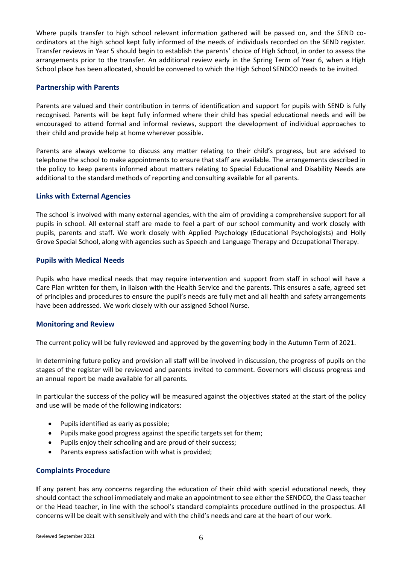Where pupils transfer to high school relevant information gathered will be passed on, and the SEND coordinators at the high school kept fully informed of the needs of individuals recorded on the SEND register. Transfer reviews in Year 5 should begin to establish the parents' choice of High School, in order to assess the arrangements prior to the transfer. An additional review early in the Spring Term of Year 6, when a High School place has been allocated, should be convened to which the High School SENDCO needs to be invited.

#### **Partnership with Parents**

Parents are valued and their contribution in terms of identification and support for pupils with SEND is fully recognised. Parents will be kept fully informed where their child has special educational needs and will be encouraged to attend formal and informal reviews, support the development of individual approaches to their child and provide help at home wherever possible.

Parents are always welcome to discuss any matter relating to their child's progress, but are advised to telephone the school to make appointments to ensure that staff are available. The arrangements described in the policy to keep parents informed about matters relating to Special Educational and Disability Needs are additional to the standard methods of reporting and consulting available for all parents.

## **Links with External Agencies**

The school is involved with many external agencies, with the aim of providing a comprehensive support for all pupils in school. All external staff are made to feel a part of our school community and work closely with pupils, parents and staff. We work closely with Applied Psychology (Educational Psychologists) and Holly Grove Special School, along with agencies such as Speech and Language Therapy and Occupational Therapy.

## **Pupils with Medical Needs**

Pupils who have medical needs that may require intervention and support from staff in school will have a Care Plan written for them, in liaison with the Health Service and the parents. This ensures a safe, agreed set of principles and procedures to ensure the pupil's needs are fully met and all health and safety arrangements have been addressed. We work closely with our assigned School Nurse.

## **Monitoring and Review**

The current policy will be fully reviewed and approved by the governing body in the Autumn Term of 2021.

In determining future policy and provision all staff will be involved in discussion, the progress of pupils on the stages of the register will be reviewed and parents invited to comment. Governors will discuss progress and an annual report be made available for all parents.

In particular the success of the policy will be measured against the objectives stated at the start of the policy and use will be made of the following indicators:

- Pupils identified as early as possible;
- Pupils make good progress against the specific targets set for them;
- Pupils enjoy their schooling and are proud of their success;
- Parents express satisfaction with what is provided;

#### **Complaints Procedure**

**I**f any parent has any concerns regarding the education of their child with special educational needs, they should contact the school immediately and make an appointment to see either the SENDCO, the Class teacher or the Head teacher, in line with the school's standard complaints procedure outlined in the prospectus. All concerns will be dealt with sensitively and with the child's needs and care at the heart of our work.